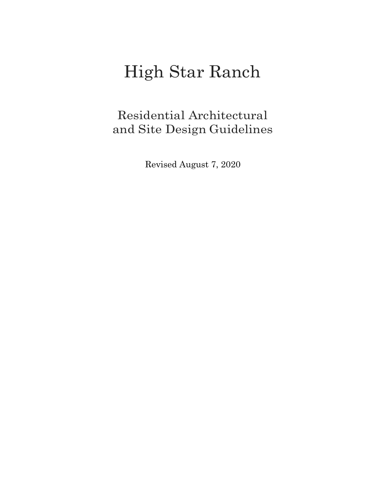# High Star Ranch

Residential Architectural and Site Design Guidelines

Revised August 7, 2020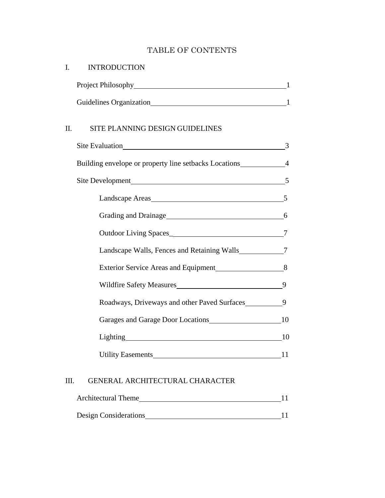# TABLE OF CONTENTS

| I.                            | <b>INTRODUCTION</b>                                       |  |
|-------------------------------|-----------------------------------------------------------|--|
|                               |                                                           |  |
|                               |                                                           |  |
| II.                           | SITE PLANNING DESIGN GUIDELINES                           |  |
|                               | Site Evaluation 3                                         |  |
|                               | Building envelope or property line setbacks Locations 4   |  |
|                               | Site Development 5                                        |  |
|                               | Landscape Areas 5                                         |  |
|                               |                                                           |  |
|                               | Outdoor Living Spaces_ 7                                  |  |
|                               | Landscape Walls, Fences and Retaining Walls_____________7 |  |
| Wildfire Safety Measures 1994 |                                                           |  |
|                               |                                                           |  |
|                               | Roadways, Driveways and other Paved Surfaces___________9  |  |
|                               | Garages and Garage Door Locations 10                      |  |
|                               | Lighting 10                                               |  |
|                               | Utility Easements 11                                      |  |
|                               |                                                           |  |

## III. GENERAL ARCHITECTURAL CHARACTER

| <b>Architectural Theme</b>   |  |
|------------------------------|--|
|                              |  |
| <b>Design Considerations</b> |  |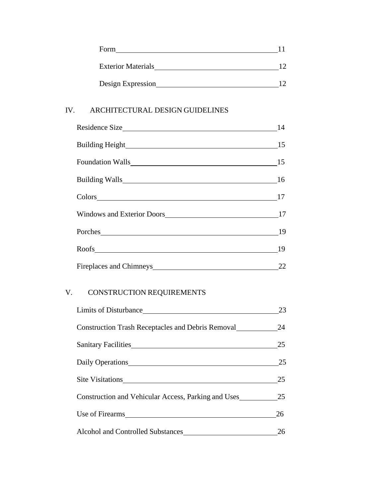| Form                      |  |
|---------------------------|--|
| <b>Exterior Materials</b> |  |
| Design Expression         |  |

#### IV. ARCHITECTURAL DESIGN GUIDELINES

| 14   |
|------|
|      |
| 15   |
|      |
|      |
|      |
| - 19 |
| 19   |
| 22   |

# V. CONSTRUCTION REQUIREMENTS

|                                                          | 23 |
|----------------------------------------------------------|----|
| <b>Construction Trash Receptacles and Debris Removal</b> | 24 |
| Sanitary Facilities                                      | 25 |
| Daily Operations                                         | 25 |
| Site Visitations                                         | 25 |
| Construction and Vehicular Access, Parking and Uses 25   |    |
| Use of Firearms                                          | 26 |
| Alcohol and Controlled Substances                        |    |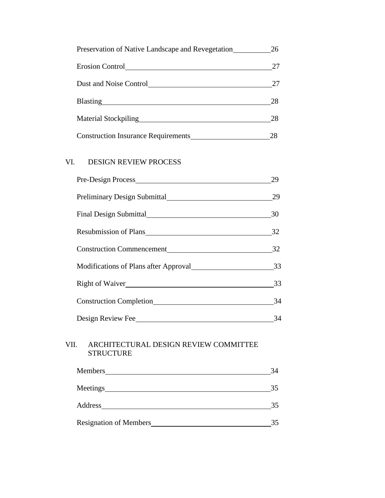| Preservation of Native Landscape and Revegetation | 26 |
|---------------------------------------------------|----|
| Erosion Control                                   | 27 |
| Dust and Noise Control                            | 27 |
|                                                   | 28 |
| <b>Material Stockpiling</b>                       | 28 |
| <b>Construction Insurance Requirements</b>        | 28 |

# VI. DESIGN REVIEW PROCESS

|      |                                                                                                                                                                                                                                | 29 |
|------|--------------------------------------------------------------------------------------------------------------------------------------------------------------------------------------------------------------------------------|----|
|      | Preliminary Design Submittal                                                                                                                                                                                                   | 29 |
|      |                                                                                                                                                                                                                                | 30 |
|      |                                                                                                                                                                                                                                | 32 |
|      | Construction Commencement 32                                                                                                                                                                                                   |    |
|      |                                                                                                                                                                                                                                |    |
|      | Right of Waiver 33                                                                                                                                                                                                             |    |
|      | Construction Completion 24                                                                                                                                                                                                     |    |
|      |                                                                                                                                                                                                                                |    |
| VII. | ARCHITECTURAL DESIGN REVIEW COMMITTEE<br><b>STRUCTURE</b>                                                                                                                                                                      |    |
|      |                                                                                                                                                                                                                                | 34 |
|      |                                                                                                                                                                                                                                | 35 |
|      | Address and the state of the state of the state of the state of the state of the state of the state of the state of the state of the state of the state of the state of the state of the state of the state of the state of th | 35 |
|      |                                                                                                                                                                                                                                |    |

| <b>Resignation of Members</b> |  |
|-------------------------------|--|
|                               |  |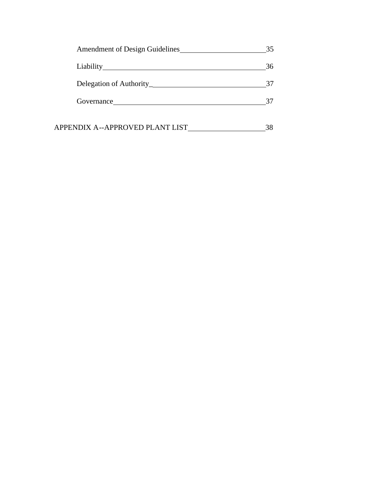| Amendment of Design Guidelines  | 35  |
|---------------------------------|-----|
|                                 | 36  |
|                                 | -37 |
|                                 | 37  |
| APPENDIX A--APPROVED PLANT LIST |     |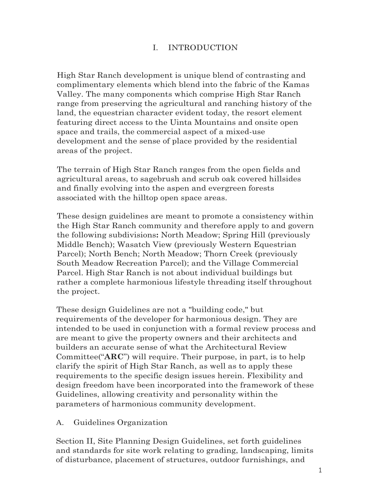## I. INTRODUCTION

High Star Ranch development is unique blend of contrasting and complimentary elements which blend into the fabric of the Kamas Valley. The many components which comprise High Star Ranch range from preserving the agricultural and ranching history of the land, the equestrian character evident today, the resort element featuring direct access to the Uinta Mountains and onsite open space and trails, the commercial aspect of a mixed-use development and the sense of place provided by the residential areas of the project.

The terrain of High Star Ranch ranges from the open fields and agricultural areas, to sagebrush and scrub oak covered hillsides and finally evolving into the aspen and evergreen forests associated with the hilltop open space areas.

These design guidelines are meant to promote a consistency within the High Star Ranch community and therefore apply to and govern the following subdivisions**:** North Meadow; Spring Hill (previously Middle Bench); Wasatch View (previously Western Equestrian Parcel); North Bench; North Meadow; Thorn Creek (previously South Meadow Recreation Parcel); and the Village Commercial Parcel. High Star Ranch is not about individual buildings but rather a complete harmonious lifestyle threading itself throughout the project.

These design Guidelines are not a "building code," but requirements of the developer for harmonious design. They are intended to be used in conjunction with a formal review process and are meant to give the property owners and their architects and builders an accurate sense of what the Architectural Review Committee("**ARC**") will require. Their purpose, in part, is to help clarify the spirit of High Star Ranch, as well as to apply these requirements to the specific design issues herein. Flexibility and design freedom have been incorporated into the framework of these Guidelines, allowing creativity and personality within the parameters of harmonious community development.

A. Guidelines Organization

Section II, Site Planning Design Guidelines, set forth guidelines and standards for site work relating to grading, landscaping, limits of disturbance, placement of structures, outdoor furnishings, and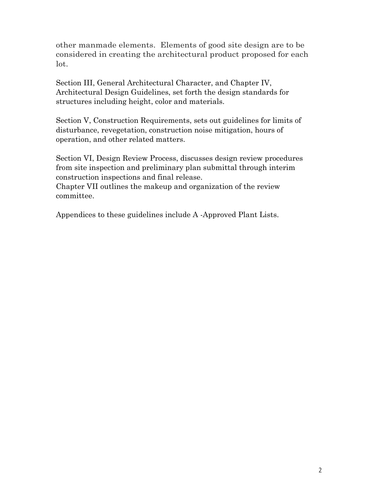other manmade elements. Elements of good site design are to be considered in creating the architectural product proposed for each lot.

Section III, General Architectural Character, and Chapter IV, Architectural Design Guidelines, set forth the design standards for structures including height, color and materials.

Section V, Construction Requirements, sets out guidelines for limits of disturbance, revegetation, construction noise mitigation, hours of operation, and other related matters.

Section VI, Design Review Process, discusses design review procedures from site inspection and preliminary plan submittal through interim construction inspections and final release.

Chapter VII outlines the makeup and organization of the review committee.

Appendices to these guidelines include A -Approved Plant Lists.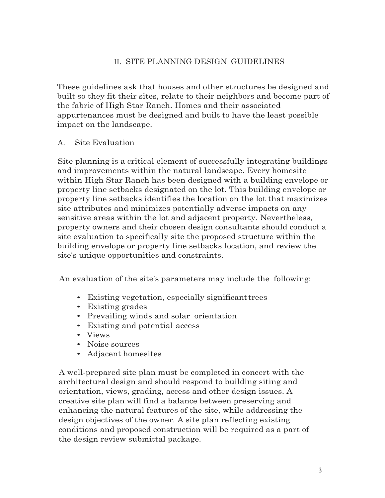## II. SITE PLANNING DESIGN GUIDELINES

These guidelines ask that houses and other structures be designed and built so they fit their sites, relate to their neighbors and become part of the fabric of High Star Ranch. Homes and their associated appurtenances must be designed and built to have the least possible impact on the landscape.

#### A. Site Evaluation

Site planning is a critical element of successfully integrating buildings and improvements within the natural landscape. Every homesite within High Star Ranch has been designed with a building envelope or property line setbacks designated on the lot. This building envelope or property line setbacks identifies the location on the lot that maximizes site attributes and minimizes potentially adverse impacts on any sensitive areas within the lot and adjacent property. Nevertheless, property owners and their chosen design consultants should conduct a site evaluation to specifically site the proposed structure within the building envelope or property line setbacks location, and review the site's unique opportunities and constraints.

An evaluation of the site's parameters may include the following:

- Existing vegetation, especially significanttrees
- Existing grades
- Prevailing winds and solar orientation
- Existing and potential access
- Views
- Noise sources
- Adjacent homesites

A well-prepared site plan must be completed in concert with the architectural design and should respond to building siting and orientation, views, grading, access and other design issues. A creative site plan will find a balance between preserving and enhancing the natural features of the site, while addressing the design objectives of the owner. A site plan reflecting existing conditions and proposed construction will be required as a part of the design review submittal package.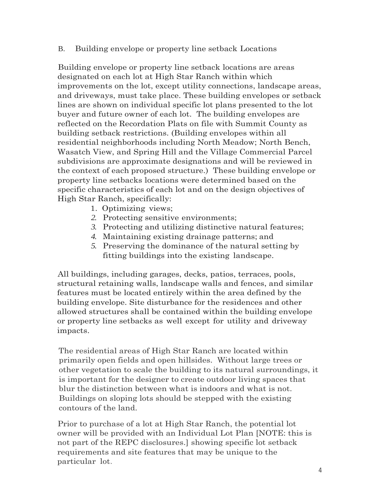B. Building envelope or property line setback Locations

Building envelope or property line setback locations are areas designated on each lot at High Star Ranch within which improvements on the lot, except utility connections, landscape areas, and driveways, must take place. These building envelopes or setback lines are shown on individual specific lot plans presented to the lot buyer and future owner of each lot. The building envelopes are reflected on the Recordation Plats on file with Summit County as building setback restrictions. (Building envelopes within all residential neighborhoods including North Meadow; North Bench, Wasatch View, and Spring Hill and the Village Commercial Parcel subdivisions are approximate designations and will be reviewed in the context of each proposed structure.) These building envelope or property line setbacks locations were determined based on the specific characteristics of each lot and on the design objectives of High Star Ranch, specifically:

- 1. Optimizing views;
- *2.* Protecting sensitive environments;
- *3.* Protecting and utilizing distinctive natural features;
- *4.* Maintaining existing drainage patterns; and
- *5.* Preserving the dominance of the natural setting by fitting buildings into the existing landscape.

All buildings, including garages, decks, patios, terraces, pools, structural retaining walls, landscape walls and fences, and similar features must be located entirely within the area defined by the building envelope. Site disturbance for the residences and other allowed structures shall be contained within the building envelope or property line setbacks as well except for utility and driveway impacts.

The residential areas of High Star Ranch are located within primarily open fields and open hillsides. Without large trees or other vegetation to scale the building to its natural surroundings, it is important for the designer to create outdoor living spaces that blur the distinction between what is indoors and what is not. Buildings on sloping lots should be stepped with the existing contours of the land.

Prior to purchase of a lot at High Star Ranch, the potential lot owner will be provided with an Individual Lot Plan [NOTE: this is not part of the REPC disclosures.] showing specific lot setback requirements and site features that may be unique to the particular lot.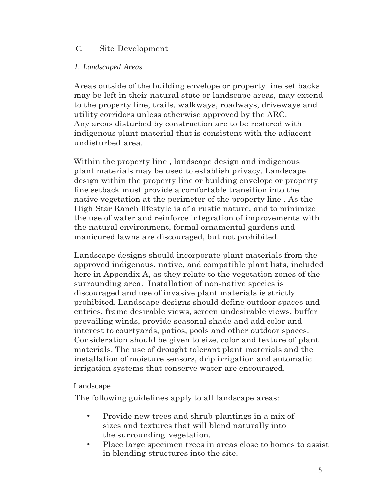## C. Site Development

#### *1. Landscaped Areas*

Areas outside of the building envelope or property line set backs may be left in their natural state or landscape areas, may extend to the property line, trails, walkways, roadways, driveways and utility corridors unless otherwise approved by the ARC. Any areas disturbed by construction are to be restored with indigenous plant material that is consistent with the adjacent undisturbed area.

Within the property line , landscape design and indigenous plant materials may be used to establish privacy. Landscape design within the property line or building envelope or property line setback must provide a comfortable transition into the native vegetation at the perimeter of the property line . As the High Star Ranch lifestyle is of a rustic nature, and to minimize the use of water and reinforce integration of improvements with the natural environment, formal ornamental gardens and manicured lawns are discouraged, but not prohibited.

Landscape designs should incorporate plant materials from the approved indigenous, native, and compatible plant lists, included here in Appendix A, as they relate to the vegetation zones of the surrounding area. Installation of non-native species is discouraged and use of invasive plant materials is strictly prohibited. Landscape designs should define outdoor spaces and entries, frame desirable views, screen undesirable views, buffer prevailing winds, provide seasonal shade and add color and interest to courtyards, patios, pools and other outdoor spaces. Consideration should be given to size, color and texture of plant materials. The use of drought tolerant plant materials and the installation of moisture sensors, drip irrigation and automatic irrigation systems that conserve water are encouraged.

#### Landscape

The following guidelines apply to all landscape areas:

- Provide new trees and shrub plantings in a mix of sizes and textures that will blend naturally into the surrounding vegetation.
- Place large specimen trees in areas close to homes to assist in blending structures into the site.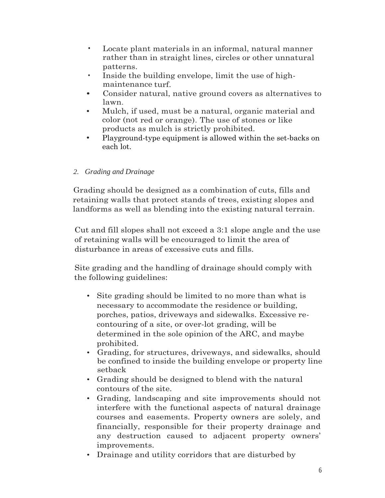- Locate plant materials in an informal, natural manner rather than in straight lines, circles or other unnatural patterns.
- Inside the building envelope, limit the use of highmaintenance turf.
- Consider natural, native ground covers as alternatives to lawn.
- Mulch, if used, must be a natural, organic material and color (not red or orange). The use of stones or like products as mulch is strictly prohibited.
- Playground-type equipment is allowed within the set-backs on each lot.

## *2. Grading and Drainage*

Grading should be designed as a combination of cuts, fills and retaining walls that protect stands of trees, existing slopes and landforms as well as blending into the existing natural terrain.

Cut and fill slopes shall not exceed a 3:1 slope angle and the use of retaining walls will be encouraged to limit the area of disturbance in areas of excessive cuts and fills.

Site grading and the handling of drainage should comply with the following guidelines:

- Site grading should be limited to no more than what is necessary to accommodate the residence or building, porches, patios, driveways and sidewalks. Excessive recontouring of a site, or over-lot grading, will be determined in the sole opinion of the ARC, and maybe prohibited.
- Grading, for structures, driveways, and sidewalks, should be confined to inside the building envelope or property line setback
- Grading should be designed to blend with the natural contours of the site.
- Grading, landscaping and site improvements should not interfere with the functional aspects of natural drainage courses and easements. Property owners are solely, and financially, responsible for their property drainage and any destruction caused to adjacent property owners' improvements.
- Drainage and utility corridors that are disturbed by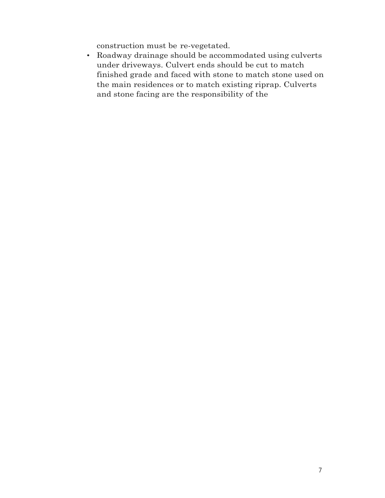construction must be re-vegetated.

• Roadway drainage should be accommodated using culverts under driveways. Culvert ends should be cut to match finished grade and faced with stone to match stone used on the main residences or to match existing riprap. Culverts and stone facing are the responsibility of the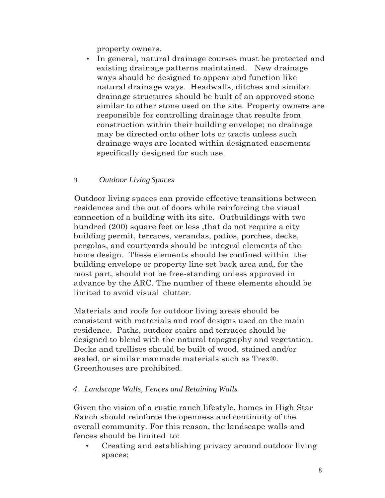property owners.

• In general, natural drainage courses must be protected and existing drainage patterns maintained. New drainage ways should be designed to appear and function like natural drainage ways. Headwalls, ditches and similar drainage structures should be built of an approved stone similar to other stone used on the site. Property owners are responsible for controlling drainage that results from construction within their building envelope; no drainage may be directed onto other lots or tracts unless such drainage ways are located within designated easements specifically designed for such use.

#### *3. Outdoor Living Spaces*

Outdoor living spaces can provide effective transitions between residences and the out of doors while reinforcing the visual connection of a building with its site. Outbuildings with two hundred (200) square feet or less, that do not require a city building permit, terraces, verandas, patios, porches, decks, pergolas, and courtyards should be integral elements of the home design. These elements should be confined within the building envelope or property line set back area and, for the most part, should not be free-standing unless approved in advance by the ARC. The number of these elements should be limited to avoid visual clutter.

Materials and roofs for outdoor living areas should be consistent with materials and roof designs used on the main residence. Paths, outdoor stairs and terraces should be designed to blend with the natural topography and vegetation. Decks and trellises should be built of wood, stained and/or sealed, or similar manmade materials such as Trex®. Greenhouses are prohibited.

#### *4. Landscape Walls, Fences and Retaining Walls*

Given the vision of a rustic ranch lifestyle, homes in High Star Ranch should reinforce the openness and continuity of the overall community. For this reason, the landscape walls and fences should be limited to:

• Creating and establishing privacy around outdoor living spaces;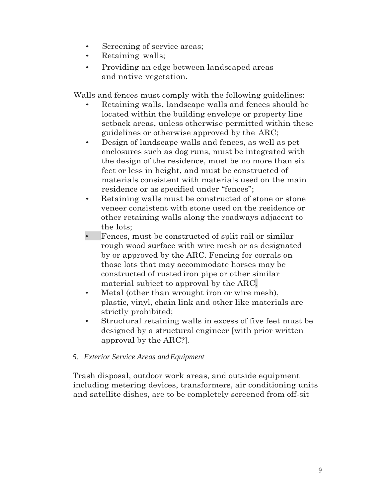- Screening of service areas;
- Retaining walls;
- Providing an edge between landscaped areas and native vegetation.

Walls and fences must comply with the following guidelines:

- Retaining walls, landscape walls and fences should be located within the building envelope or property line setback areas, unless otherwise permitted within these guidelines or otherwise approved by the ARC;
- Design of landscape walls and fences, as well as pet enclosures such as dog runs, must be integrated with the design of the residence, must be no more than six feet or less in height, and must be constructed of materials consistent with materials used on the main residence or as specified under "fences";
- Retaining walls must be constructed of stone or stone veneer consistent with stone used on the residence or other retaining walls along the roadways adjacent to the lots;
- Fences, must be constructed of split rail or similar rough wood surface with wire mesh or as designated by or approved by the ARC. Fencing for corrals on those lots that may accommodate horses may be constructed of rusted iron pipe or other similar material subject to approval by the ARC.
- Metal (other than wrought iron or wire mesh), plastic, vinyl, chain link and other like materials are strictly prohibited;
- Structural retaining walls in excess of five feet must be designed by a structural engineer [with prior written approval by the ARC?].

## *5. Exterior Service Areas andEquipment*

Trash disposal, outdoor work areas, and outside equipment including metering devices, transformers, air conditioning units and satellite dishes, are to be completely screened from off-sit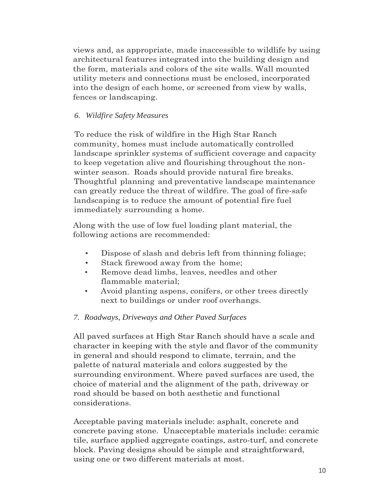views and, as appropriate, made inaccessible to wildlife by using architectural features integrated into the building design and the form, materials and colors of the site walls. Wall mounted utility meters and connections must be enclosed, incorporated into the design of each home, or screened from view by walls, fences or landscaping.

## *6. Wildfire Safety Measures*

To reduce the risk of wildfire in the High Star Ranch community, homes must include automatically controlled landscape sprinkler systems of sufficient coverage and capacity to keep vegetation alive and flourishing throughout the nonwinter season. Roads should provide natural fire breaks. Thoughtful planning and preventative landscape maintenance can greatly reduce the threat of wildfire. The goal of fire-safe landscaping is to reduce the amount of potential fire fuel immediately surrounding a home.

Along with the use of low fuel loading plant material, the following actions are recommended:

- Dispose of slash and debris left from thinning foliage;
- Stack firewood away from the home;
- Remove dead limbs, leaves, needles and other flammable material;
- Avoid planting aspens, conifers, or other trees directly next to buildings or under roof overhangs.

# *7. Roadways, Driveways and Other Paved Surfaces*

All paved surfaces at High Star Ranch should have a scale and character in keeping with the style and flavor of the community in general and should respond to climate, terrain, and the palette of natural materials and colors suggested by the surrounding environment. Where paved surfaces are used, the choice of material and the alignment of the path, driveway or road should be based on both aesthetic and functional considerations.

Acceptable paving materials include: asphalt, concrete and concrete paving stone. Unacceptable materials include: ceramic tile, surface applied aggregate coatings, astro-turf, and concrete block. Paving designs should be simple and straightforward, using one or two different materials at most.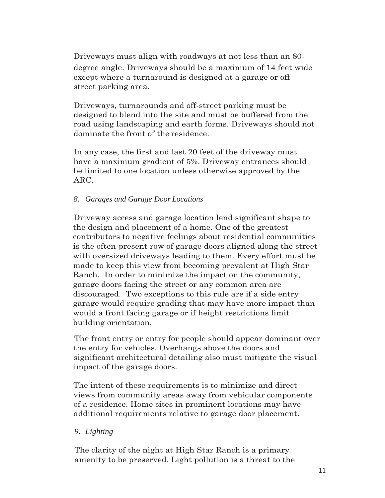Driveways must align with roadways at not less than an 80 degree angle. Driveways should be a maximum of 14 feet wide except where a turnaround is designed at a garage or offstreet parking area.

Driveways, turnarounds and off-street parking must be designed to blend into the site and must be buffered from the road using landscaping and earth forms. Driveways should not dominate the front of the residence.

In any case, the first and last 20 feet of the driveway must have a maximum gradient of 5%. Driveway entrances should be limited to one location unless otherwise approved by the ARC.

#### *8. Garages and Garage Door Locations*

Driveway access and garage location lend significant shape to the design and placement of a home. One of the greatest contributors to negative feelings about residential communities is the often-present row of garage doors aligned along the street with oversized driveways leading to them. Every effort must be made to keep this view from becoming prevalent at High Star Ranch. In order to minimize the impact on the community, garage doors facing the street or any common area are discouraged. Two exceptions to this rule are if a side entry garage would require grading that may have more impact than would a front facing garage or if height restrictions limit building orientation.

The front entry or entry for people should appear dominant over the entry for vehicles. Overhangs above the doors and significant architectural detailing also must mitigate the visual impact of the garage doors.

The intent of these requirements is to minimize and direct views from community areas away from vehicular components of a residence. Home sites in prominent locations may have additional requirements relative to garage door placement.

#### *9. Lighting*

The clarity of the night at High Star Ranch is a primary amenity to be preserved. Light pollution is a threat to the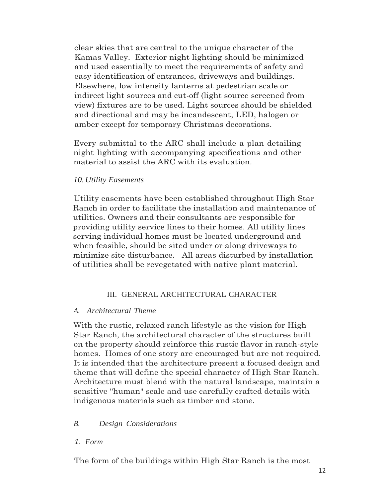clear skies that are central to the unique character of the Kamas Valley. Exterior night lighting should be minimized and used essentially to meet the requirements of safety and easy identification of entrances, driveways and buildings. Elsewhere, low intensity lanterns at pedestrian scale or indirect light sources and cut-off (light source screened from view) fixtures are to be used. Light sources should be shielded and directional and may be incandescent, LED, halogen or amber except for temporary Christmas decorations.

Every submittal to the ARC shall include a plan detailing night lighting with accompanying specifications and other material to assist the ARC with its evaluation.

#### *10. Utility Easements*

Utility easements have been established throughout High Star Ranch in order to facilitate the installation and maintenance of utilities. Owners and their consultants are responsible for providing utility service lines to their homes. All utility lines serving individual homes must be located underground and when feasible, should be sited under or along driveways to minimize site disturbance. All areas disturbed by installation of utilities shall be revegetated with native plant material.

#### III. GENERAL ARCHITECTURAL CHARACTER

#### *A. Architectural Theme*

With the rustic, relaxed ranch lifestyle as the vision for High Star Ranch, the architectural character of the structures built on the property should reinforce this rustic flavor in ranch-style homes. Homes of one story are encouraged but are not required. It is intended that the architecture present a focused design and theme that will define the special character of High Star Ranch. Architecture must blend with the natural landscape, maintain a sensitive "human" scale and use carefully crafted details with indigenous materials such as timber and stone.

#### *B. Design Considerations*

#### *1. Form*

The form of the buildings within High Star Ranch is the most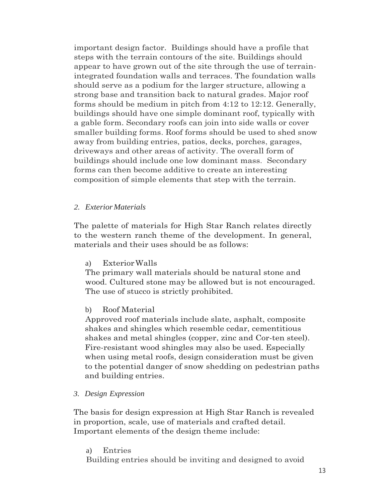important design factor. Buildings should have a profile that steps with the terrain contours of the site. Buildings should appear to have grown out of the site through the use of terrainintegrated foundation walls and terraces. The foundation walls should serve as a podium for the larger structure, allowing a strong base and transition back to natural grades. Major roof forms should be medium in pitch from 4:12 to 12:12. Generally, buildings should have one simple dominant roof, typically with a gable form. Secondary roofs can join into side walls or cover smaller building forms. Roof forms should be used to shed snow away from building entries, patios, decks, porches, garages, driveways and other areas of activity. The overall form of buildings should include one low dominant mass. Secondary forms can then become additive to create an interesting composition of simple elements that step with the terrain.

#### *2. ExteriorMaterials*

The palette of materials for High Star Ranch relates directly to the western ranch theme of the development. In general, materials and their uses should be as follows:

#### a) ExteriorWalls

The primary wall materials should be natural stone and wood. Cultured stone may be allowed but is not encouraged. The use of stucco is strictly prohibited.

#### b) Roof Material

Approved roof materials include slate, asphalt, composite shakes and shingles which resemble cedar, cementitious shakes and metal shingles (copper, zinc and Cor-ten steel). Fire-resistant wood shingles may also be used. Especially when using metal roofs, design consideration must be given to the potential danger of snow shedding on pedestrian paths and building entries.

*3. Design Expression*

The basis for design expression at High Star Ranch is revealed in proportion, scale, use of materials and crafted detail. Important elements of the design theme include:

a) Entries

Building entries should be inviting and designed to avoid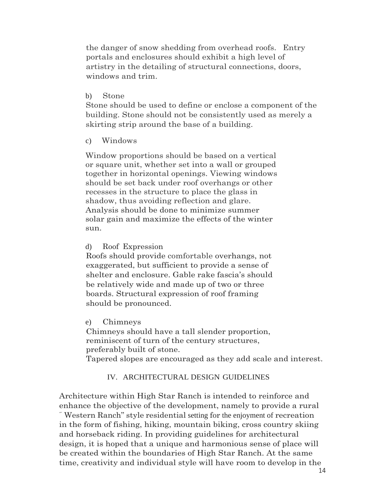the danger of snow shedding from overhead roofs. Entry portals and enclosures should exhibit a high level of artistry in the detailing of structural connections, doors, windows and trim.

b) Stone

Stone should be used to define or enclose a component of the building. Stone should not be consistently used as merely a skirting strip around the base of a building.

c) Windows

Window proportions should be based on a vertical or square unit, whether set into a wall or grouped together in horizontal openings. Viewing windows should be set back under roof overhangs or other recesses in the structure to place the glass in shadow, thus avoiding reflection and glare. Analysis should be done to minimize summer solar gain and maximize the effects of the winter sun.

d) Roof Expression

Roofs should provide comfortable overhangs, not exaggerated, but sufficient to provide a sense of shelter and enclosure. Gable rake fascia's should be relatively wide and made up of two or three boards. Structural expression of roof framing should be pronounced.

e) Chimneys

Chimneys should have a tall slender proportion, reminiscent of turn of the century structures, preferably built of stone.

Tapered slopes are encouraged as they add scale and interest.

#### IV. ARCHITECTURAL DESIGN GUIDELINES

Architecture within High Star Ranch is intended to reinforce and enhance the objective of the development, namely to provide a rural "" Western Ranch" style residential setting for the enjoyment of recreation in the form of fishing, hiking, mountain biking, cross country skiing and horseback riding. In providing guidelines for architectural design, it is hoped that a unique and harmonious sense of place will be created within the boundaries of High Star Ranch. At the same time, creativity and individual style will have room to develop in the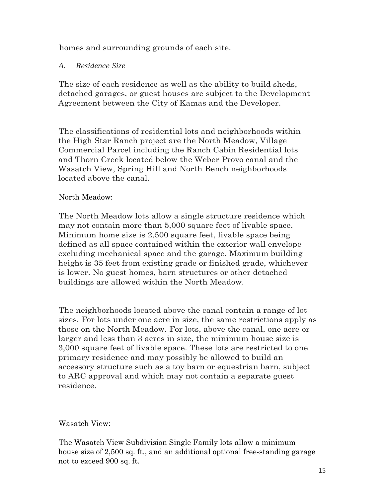homes and surrounding grounds of each site.

## *A. Residence Size*

The size of each residence as well as the ability to build sheds, detached garages, or guest houses are subject to the Development Agreement between the City of Kamas and the Developer.

The classifications of residential lots and neighborhoods within the High Star Ranch project are the North Meadow, Village Commercial Parcel including the Ranch Cabin Residential lots and Thorn Creek located below the Weber Provo canal and the Wasatch View, Spring Hill and North Bench neighborhoods located above the canal.

## North Meadow:

The North Meadow lots allow a single structure residence which may not contain more than 5,000 square feet of livable space. Minimum home size is 2,500 square feet, livable space being defined as all space contained within the exterior wall envelope excluding mechanical space and the garage. Maximum building height is 35 feet from existing grade or finished grade, whichever is lower. No guest homes, barn structures or other detached buildings are allowed within the North Meadow.

The neighborhoods located above the canal contain a range of lot sizes. For lots under one acre in size, the same restrictions apply as those on the North Meadow. For lots, above the canal, one acre or larger and less than 3 acres in size, the minimum house size is 3,000 square feet of livable space. These lots are restricted to one primary residence and may possibly be allowed to build an accessory structure such as a toy barn or equestrian barn, subject to ARC approval and which may not contain a separate guest residence.

## Wasatch View:

The Wasatch View Subdivision Single Family lots allow a minimum house size of 2,500 sq. ft., and an additional optional free-standing garage not to exceed 900 sq. ft.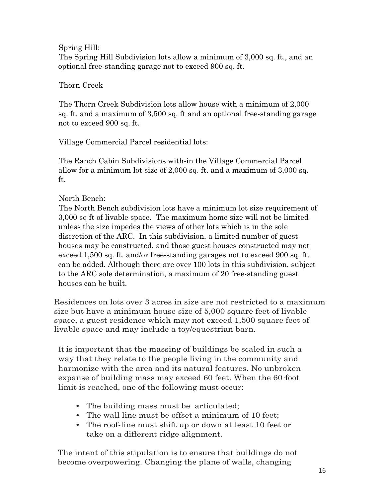### Spring Hill:

The Spring Hill Subdivision lots allow a minimum of 3,000 sq. ft., and an optional free-standing garage not to exceed 900 sq. ft.

## Thorn Creek

The Thorn Creek Subdivision lots allow house with a minimum of 2,000 sq. ft. and a maximum of 3,500 sq. ft and an optional free-standing garage not to exceed 900 sq. ft.

Village Commercial Parcel residential lots:

The Ranch Cabin Subdivisions with-in the Village Commercial Parcel allow for a minimum lot size of 2,000 sq. ft. and a maximum of 3,000 sq. ft.

## North Bench:

The North Bench subdivision lots have a minimum lot size requirement of 3,000 sq ft of livable space. The maximum home size will not be limited unless the size impedes the views of other lots which is in the sole discretion of the ARC. In this subdivision, a limited number of guest houses may be constructed, and those guest houses constructed may not exceed 1,500 sq. ft. and/or free-standing garages not to exceed 900 sq. ft. can be added. Although there are over 100 lots in this subdivision, subject to the ARC sole determination, a maximum of 20 free-standing guest houses can be built.

Residences on lots over 3 acres in size are not restricted to a maximum size but have a minimum house size of 5,000 square feet of livable space, a guest residence which may not exceed 1,500 square feet of livable space and may include a toy/equestrian barn.

It is important that the massing of buildings be scaled in such a way that they relate to the people living in the community and harmonize with the area and its natural features. No unbroken expanse of building mass may exceed 60 feet. When the 60·foot limit is reached, one of the following must occur:

- The building mass must be articulated;
- The wall line must be offset a minimum of 10 feet;
- The roof-line must shift up or down at least 10 feet or take on a different ridge alignment.

The intent of this stipulation is to ensure that buildings do not become overpowering. Changing the plane of walls, changing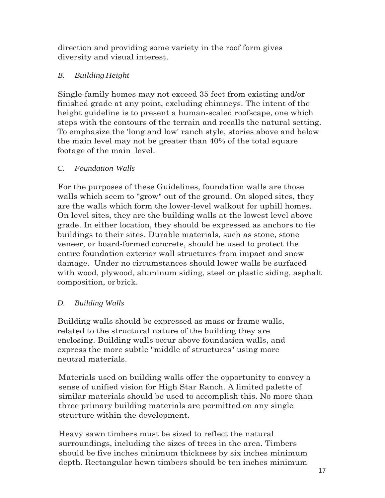direction and providing some variety in the roof form gives diversity and visual interest.

# *B. BuildingHeight*

Single-family homes may not exceed 35 feet from existing and/or finished grade at any point, excluding chimneys. The intent of the height guideline is to present a human-scaled roofscape, one which steps with the contours of the terrain and recalls the natural setting. To emphasize the 'long and low' ranch style, stories above and below the main level may not be greater than 40% of the total square footage of the main level.

## *C. Foundation Walls*

For the purposes of these Guidelines, foundation walls are those walls which seem to "grow" out of the ground. On sloped sites, they are the walls which form the lower-level walkout for uphill homes. On level sites, they are the building walls at the lowest level above grade. In either location, they should be expressed as anchors to tie buildings to their sites. Durable materials, such as stone, stone veneer, or board-formed concrete, should be used to protect the entire foundation exterior wall structures from impact and snow damage. Under no circumstances should lower walls be surfaced with wood, plywood, aluminum siding, steel or plastic siding, asphalt composition, orbrick.

# *D. Building Walls*

Building walls should be expressed as mass or frame walls, related to the structural nature of the building they are enclosing. Building walls occur above foundation walls, and express the more subtle "middle of structures" using more neutral materials.

Materials used on building walls offer the opportunity to convey a sense of unified vision for High Star Ranch. A limited palette of similar materials should be used to accomplish this. No more than three primary building materials are permitted on any single structure within the development.

Heavy sawn timbers must be sized to reflect the natural surroundings, including the sizes of trees in the area. Timbers should be five inches minimum thickness by six inches minimum depth. Rectangular hewn timbers should be ten inches minimum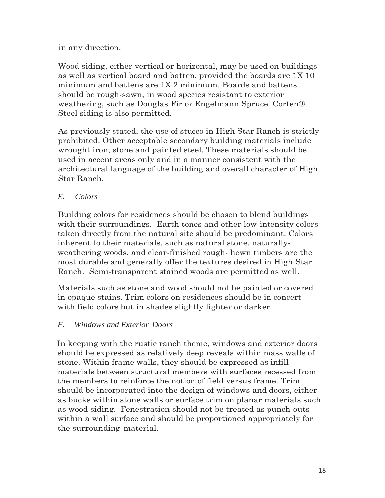in any direction.

Wood siding, either vertical or horizontal, may be used on buildings as well as vertical board and batten, provided the boards are 1X 10 minimum and battens are 1X 2 minimum. Boards and battens should be rough-sawn, in wood species resistant to exterior weathering, such as Douglas Fir or Engelmann Spruce. Corten® Steel siding is also permitted.

As previously stated, the use of stucco in High Star Ranch is strictly prohibited. Other acceptable secondary building materials include wrought iron, stone and painted steel. These materials should be used in accent areas only and in a manner consistent with the architectural language of the building and overall character of High Star Ranch.

# *E. Colors*

Building colors for residences should be chosen to blend buildings with their surroundings. Earth tones and other low-intensity colors taken directly from the natural site should be predominant. Colors inherent to their materials, such as natural stone, naturallyweathering woods, and clear-finished rough- hewn timbers are the most durable and generally offer the textures desired in High Star Ranch. Semi-transparent stained woods are permitted as well.

Materials such as stone and wood should not be painted or covered in opaque stains. Trim colors on residences should be in concert with field colors but in shades slightly lighter or darker.

# *F. Windows and Exterior Doors*

In keeping with the rustic ranch theme, windows and exterior doors should be expressed as relatively deep reveals within mass walls of stone. Within frame walls, they should be expressed as infill materials between structural members with surfaces recessed from the members to reinforce the notion of field versus frame. Trim should be incorporated into the design of windows and doors, either as bucks within stone walls or surface trim on planar materials such as wood siding. Fenestration should not be treated as punch-outs within a wall surface and should be proportioned appropriately for the surrounding material.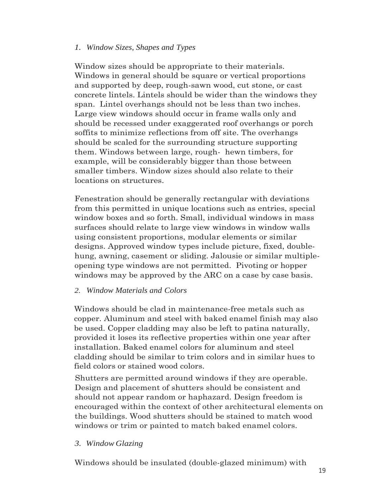#### *1. Window Sizes, Shapes and Types*

Window sizes should be appropriate to their materials. Windows in general should be square or vertical proportions and supported by deep, rough-sawn wood, cut stone, or cast concrete lintels. Lintels should be wider than the windows they span. Lintel overhangs should not be less than two inches. Large view windows should occur in frame walls only and should be recessed under exaggerated roof overhangs or porch soffits to minimize reflections from off site. The overhangs should be scaled for the surrounding structure supporting them. Windows between large, rough- hewn timbers, for example, will be considerably bigger than those between smaller timbers. Window sizes should also relate to their locations on structures.

Fenestration should be generally rectangular with deviations from this permitted in unique locations such as entries, special window boxes and so forth. Small, individual windows in mass surfaces should relate to large view windows in window walls using consistent proportions, modular elements or similar designs. Approved window types include picture, fixed, doublehung, awning, casement or sliding. Jalousie or similar multipleopening type windows are not permitted. Pivoting or hopper windows may be approved by the ARC on a case by case basis.

#### *2. Window Materials and Colors*

Windows should be clad in maintenance-free metals such as copper. Aluminum and steel with baked enamel finish may also be used. Copper cladding may also be left to patina naturally, provided it loses its reflective properties within one year after installation. Baked enamel colors for aluminum and steel cladding should be similar to trim colors and in similar hues to field colors or stained wood colors.

Shutters are permitted around windows if they are operable. Design and placement of shutters should be consistent and should not appear random or haphazard. Design freedom is encouraged within the context of other architectural elements on the buildings. Wood shutters should be stained to match wood windows or trim or painted to match baked enamel colors.

#### *3. Window Glazing*

Windows should be insulated (double-glazed minimum) with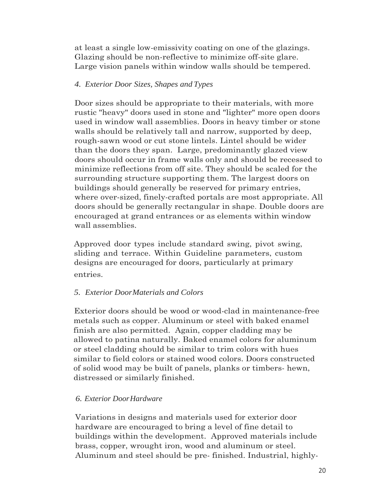at least a single low-emissivity coating on one of the glazings. Glazing should be non-reflective to minimize off-site glare. Large vision panels within window walls should be tempered.

## *4. Exterior Door Sizes, Shapes and Types*

Door sizes should be appropriate to their materials, with more rustic "heavy" doors used in stone and "lighter" more open doors used in window wall assemblies. Doors in heavy timber or stone walls should be relatively tall and narrow, supported by deep, rough-sawn wood or cut stone lintels. Lintel should be wider than the doors they span. Large, predominantly glazed view doors should occur in frame walls only and should be recessed to minimize reflections from off site. They should be scaled for the surrounding structure supporting them. The largest doors on buildings should generally be reserved for primary entries, where over-sized, finely-crafted portals are most appropriate. All doors should be generally rectangular in shape. Double doors are encouraged at grand entrances or as elements within window wall assemblies.

Approved door types include standard swing, pivot swing, sliding and terrace. Within Guideline parameters, custom designs are encouraged for doors, particularly at primary entries.

# *5. Exterior DoorMaterials and Colors*

Exterior doors should be wood or wood-clad in maintenance-free metals such as copper. Aluminum or steel with baked enamel finish are also permitted. Again, copper cladding may be allowed to patina naturally. Baked enamel colors for aluminum or steel cladding should be similar to trim colors with hues similar to field colors or stained wood colors. Doors constructed of solid wood may be built of panels, planks or timbers- hewn, distressed or similarly finished.

# *6. Exterior DoorHardware*

Variations in designs and materials used for exterior door hardware are encouraged to bring a level of fine detail to buildings within the development. Approved materials include brass, copper, wrought iron, wood and aluminum or steel. Aluminum and steel should be pre- finished. Industrial, highly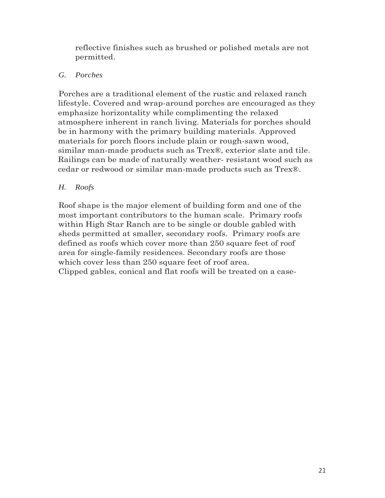reflective finishes such as brushed or polished metals are not permitted.

## *G. Porches*

Porches are a traditional element of the rustic and relaxed ranch lifestyle. Covered and wrap-around porches are encouraged as they emphasize horizontality while complimenting the relaxed atmosphere inherent in ranch living. Materials for porches should be in harmony with the primary building materials. Approved materials for porch floors include plain or rough-sawn wood, similar man-made products such as Trex®, exterior slate and tile. Railings can be made of naturally weather- resistant wood such as cedar or redwood or similar man-made products such as Trex®.

## *H. Roofs*

Roof shape is the major element of building form and one of the most important contributors to the human scale. Primary roofs within High Star Ranch are to be single or double gabled with sheds permitted at smaller, secondary roofs. Primary roofs are defined as roofs which cover more than 250 square feet of roof area for single-family residences. Secondary roofs are those which cover less than 250 square feet of roof area. Clipped gables, conical and flat roofs will be treated on a case-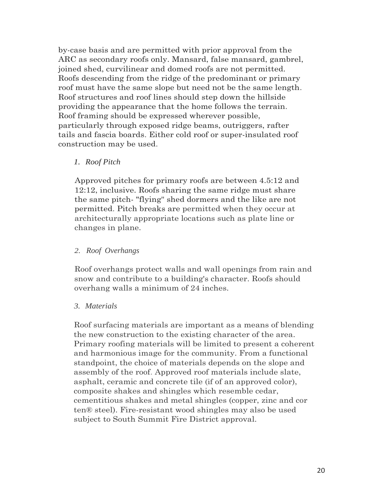by-case basis and are permitted with prior approval from the ARC as secondary roofs only. Mansard, false mansard, gambrel, joined shed, curvilinear and domed roofs are not permitted. Roofs descending from the ridge of the predominant or primary roof must have the same slope but need not be the same length. Roof structures and roof lines should step down the hillside providing the appearance that the home follows the terrain. Roof framing should be expressed wherever possible, particularly through exposed ridge beams, outriggers, rafter tails and fascia boards. Either cold roof or super-insulated roof construction may be used.

#### *1. Roof Pitch*

Approved pitches for primary roofs are between 4.5:12 and 12:12, inclusive. Roofs sharing the same ridge must share the same pitch- "flying" shed dormers and the like are not permitted. Pitch breaks are permitted when they occur at architecturally appropriate locations such as plate line or changes in plane.

#### *2. Roof Overhangs*

Roof overhangs protect walls and wall openings from rain and snow and contribute to a building's character. Roofs should overhang walls a minimum of 24 inches.

#### *3. Materials*

Roof surfacing materials are important as a means of blending the new construction to the existing character of the area. Primary roofing materials will be limited to present a coherent and harmonious image for the community. From a functional standpoint, the choice of materials depends on the slope and assembly of the roof. Approved roof materials include slate, asphalt, ceramic and concrete tile (if of an approved color), composite shakes and shingles which resemble cedar, cementitious shakes and metal shingles (copper, zinc and cor ten® steel). Fire-resistant wood shingles may also be used subject to South Summit Fire District approval.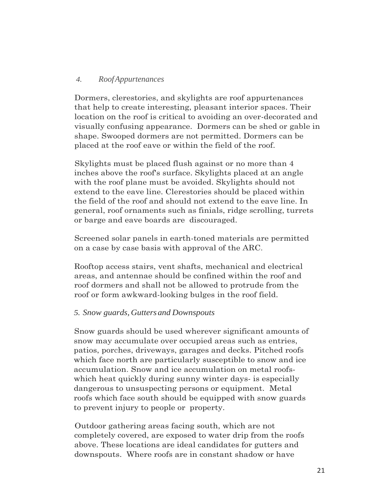#### *4. RoofAppurtenances*

Dormers, clerestories, and skylights are roof appurtenances that help to create interesting, pleasant interior spaces. Their location on the roof is critical to avoiding an over-decorated and visually confusing appearance. Dormers can be shed or gable in shape. Swooped dormers are not permitted. Dormers can be placed at the roof eave or within the field of the roof.

Skylights must be placed flush against or no more than 4 inches above the roof's surface. Skylights placed at an angle with the roof plane must be avoided. Skylights should not extend to the eave line. Clerestories should be placed within the field of the roof and should not extend to the eave line. In general, roof ornaments such as finials, ridge scrolling, turrets or barge and eave boards are discouraged.

Screened solar panels in earth-toned materials are permitted on a case by case basis with approval of the ARC.

Rooftop access stairs, vent shafts, mechanical and electrical areas, and antennae should be confined within the roof and roof dormers and shall not be allowed to protrude from the roof or form awkward-looking bulges in the roof field.

#### *5. Snow guards, Guttersand Downspouts*

Snow guards should be used wherever significant amounts of snow may accumulate over occupied areas such as entries, patios, porches, driveways, garages and decks. Pitched roofs which face north are particularly susceptible to snow and ice accumulation. Snow and ice accumulation on metal roofswhich heat quickly during sunny winter days- is especially dangerous to unsuspecting persons or equipment. Metal roofs which face south should be equipped with snow guards to prevent injury to people or property.

Outdoor gathering areas facing south, which are not completely covered, are exposed to water drip from the roofs above. These locations are ideal candidates for gutters and downspouts. Where roofs are in constant shadow or have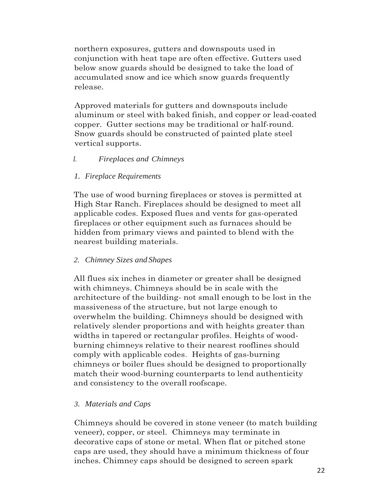northern exposures, gutters and downspouts used in conjunction with heat tape are often effective. Gutters used below snow guards should be designed to take the load of accumulated snow and ice which snow guards frequently release.

Approved materials for gutters and downspouts include aluminum or steel with baked finish, and copper or lead-coated copper. Gutter sections may be traditional or half-round. Snow guards should be constructed of painted plate steel vertical supports.

#### *I. Fireplaces and Chimneys*

#### *1. Fireplace Requirements*

The use of wood burning fireplaces or stoves is permitted at High Star Ranch. Fireplaces should be designed to meet all applicable codes. Exposed flues and vents for gas-operated fireplaces or other equipment such as furnaces should be hidden from primary views and painted to blend with the nearest building materials.

#### *2. Chimney Sizes and Shapes*

All flues six inches in diameter or greater shall be designed with chimneys. Chimneys should be in scale with the architecture of the building- not small enough to be lost in the massiveness of the structure, but not large enough to overwhelm the building. Chimneys should be designed with relatively slender proportions and with heights greater than widths in tapered or rectangular profiles. Heights of woodburning chimneys relative to their nearest rooflines should comply with applicable codes. Heights of gas-burning chimneys or boiler flues should be designed to proportionally match their wood-burning counterparts to lend authenticity and consistency to the overall roofscape.

#### *3. Materials and Caps*

Chimneys should be covered in stone veneer (to match building veneer), copper, or steel. Chimneys may terminate in decorative caps of stone or metal. When flat or pitched stone caps are used, they should have a minimum thickness of four inches. Chimney caps should be designed to screen spark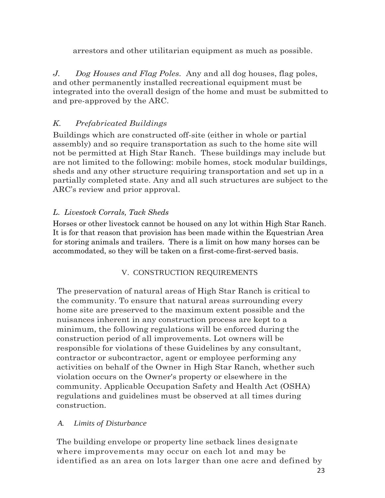arrestors and other utilitarian equipment as much as possible.

*J. Dog Houses and Flag Poles.* Any and all dog houses, flag poles, and other permanently installed recreational equipment must be integrated into the overall design of the home and must be submitted to and pre-approved by the ARC.

# *K. Prefabricated Buildings*

Buildings which are constructed off-site (either in whole or partial assembly) and so require transportation as such to the home site will not be permitted at High Star Ranch. These buildings may include but are not limited to the following: mobile homes, stock modular buildings, sheds and any other structure requiring transportation and set up in a partially completed state. Any and all such structures are subject to the ARC's review and prior approval.

# *L*. *Livestock Corrals, Tack Sheds*

Horses or other livestock cannot be housed on any lot within High Star Ranch. It is for that reason that provision has been made within the Equestrian Area for storing animals and trailers. There is a limit on how many horses can be accommodated, so they will be taken on a first-come-first-served basis.

## V. CONSTRUCTION REQUIREMENTS

The preservation of natural areas of High Star Ranch is critical to the community. To ensure that natural areas surrounding every home site are preserved to the maximum extent possible and the nuisances inherent in any construction process are kept to a minimum, the following regulations will be enforced during the construction period of all improvements. Lot owners will be responsible for violations of these Guidelines by any consultant, contractor or subcontractor, agent or employee performing any activities on behalf of the Owner in High Star Ranch, whether such violation occurs on the Owner's property or elsewhere in the community. Applicable Occupation Safety and Health Act (OSHA) regulations and guidelines must be observed at all times during construction.

## *A. Limits of Disturbance*

The building envelope or property line setback lines designate where improvements may occur on each lot and may be identified as an area on lots larger than one acre and defined by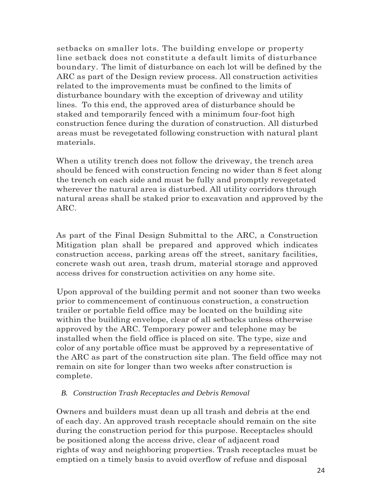setbacks on smaller lots. The building envelope or property line setback does not constitute a default limits of disturbance boundary. The limit of disturbance on each lot will be defined by the ARC as part of the Design review process. All construction activities related to the improvements must be confined to the limits of disturbance boundary with the exception of driveway and utility lines. To this end, the approved area of disturbance should be staked and temporarily fenced with a minimum four-foot high construction fence during the duration of construction. All disturbed areas must be revegetated following construction with natural plant materials.

When a utility trench does not follow the driveway, the trench area should be fenced with construction fencing no wider than 8 feet along the trench on each side and must be fully and promptly revegetated wherever the natural area is disturbed. All utility corridors through natural areas shall be staked prior to excavation and approved by the ARC.

As part of the Final Design Submittal to the ARC, a Construction Mitigation plan shall be prepared and approved which indicates construction access, parking areas off the street, sanitary facilities, concrete wash out area, trash drum, material storage and approved access drives for construction activities on any home site.

Upon approval of the building permit and not sooner than two weeks prior to commencement of continuous construction, a construction trailer or portable field office may be located on the building site within the building envelope, clear of all setbacks unless otherwise approved by the ARC. Temporary power and telephone may be installed when the field office is placed on site. The type, size and color of any portable office must be approved by a representative of the ARC as part of the construction site plan. The field office may not remain on site for longer than two weeks after construction is complete.

#### *B. Construction Trash Receptacles and Debris Removal*

Owners and builders must dean up all trash and debris at the end of each day. An approved trash receptacle should remain on the site during the construction period for this purpose. Receptacles should be positioned along the access drive, clear of adjacent road rights of way and neighboring properties. Trash receptacles must be emptied on a timely basis to avoid overflow of refuse and disposal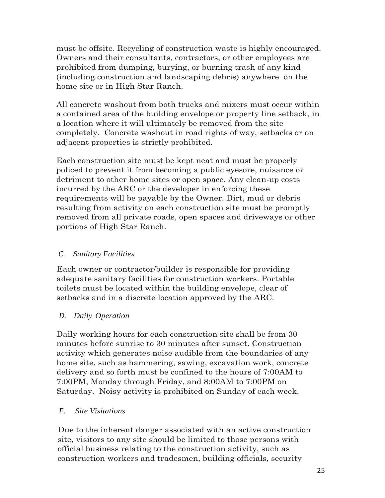must be offsite. Recycling of construction waste is highly encouraged. Owners and their consultants, contractors, or other employees are prohibited from dumping, burying, or burning trash of any kind (including construction and landscaping debris) anywhere on the home site or in High Star Ranch.

All concrete washout from both trucks and mixers must occur within a contained area of the building envelope or property line setback, in a location where it will ultimately be removed from the site completely. Concrete washout in road rights of way, setbacks or on adjacent properties is strictly prohibited.

Each construction site must be kept neat and must be properly policed to prevent it from becoming a public eyesore, nuisance or detriment to other home sites or open space. Any clean-up costs incurred by the ARC or the developer in enforcing these requirements will be payable by the Owner. Dirt, mud or debris resulting from activity on each construction site must be promptly removed from all private roads, open spaces and driveways or other portions of High Star Ranch.

## *C. Sanitary Facilities*

Each owner or contractor/builder is responsible for providing adequate sanitary facilities for construction workers. Portable toilets must be located within the building envelope, clear of setbacks and in a discrete location approved by the ARC.

## *D. Daily Operation*

Daily working hours for each construction site shall be from 30 minutes before sunrise to 30 minutes after sunset. Construction activity which generates noise audible from the boundaries of any home site, such as hammering, sawing, excavation work, concrete delivery and so forth must be confined to the hours of 7:00AM to 7:00PM, Monday through Friday, and 8:00AM to 7:00PM on Saturday. Noisy activity is prohibited on Sunday of each week.

## *E. Site Visitations*

Due to the inherent danger associated with an active construction site, visitors to any site should be limited to those persons with official business relating to the construction activity, such as construction workers and tradesmen, building officials, security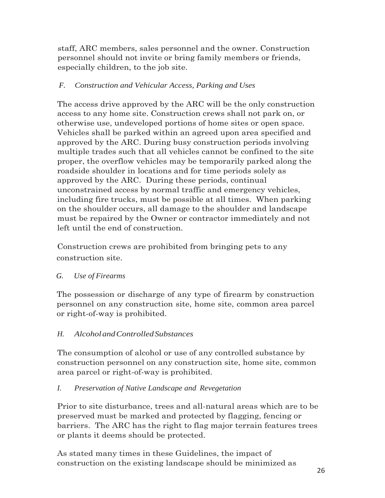staff, ARC members, sales personnel and the owner. Construction personnel should not invite or bring family members or friends, especially children, to the job site.

## *F. Construction and Vehicular Access, Parking and Uses*

The access drive approved by the ARC will be the only construction access to any home site. Construction crews shall not park on, or otherwise use, undeveloped portions of home sites or open space. Vehicles shall be parked within an agreed upon area specified and approved by the ARC. During busy construction periods involving multiple trades such that all vehicles cannot be confined to the site proper, the overflow vehicles may be temporarily parked along the roadside shoulder in locations and for time periods solely as approved by the ARC. During these periods, continual unconstrained access by normal traffic and emergency vehicles, including fire trucks, must be possible at all times. When parking on the shoulder occurs, all damage to the shoulder and landscape must be repaired by the Owner or contractor immediately and not left until the end of construction.

Construction crews are prohibited from bringing pets to any construction site.

## *G. Use of Firearms*

The possession or discharge of any type of firearm by construction personnel on any construction site, home site, common area parcel or right-of-way is prohibited.

# *H. AlcoholandControlledSubstances*

The consumption of alcohol or use of any controlled substance by construction personnel on any construction site, home site, common area parcel or right-of-way is prohibited.

## *I. Preservation of Native Landscape and Revegetation*

Prior to site disturbance, trees and all-natural areas which are to be preserved must be marked and protected by flagging, fencing or barriers. The ARC has the right to flag major terrain features trees or plants it deems should be protected.

As stated many times in these Guidelines, the impact of construction on the existing landscape should be minimized as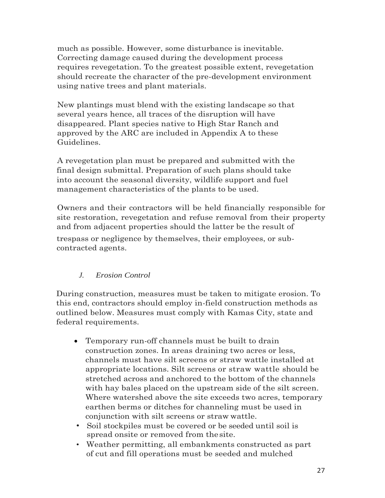much as possible. However, some disturbance is inevitable. Correcting damage caused during the development process requires revegetation. To the greatest possible extent, revegetation should recreate the character of the pre-development environment using native trees and plant materials.

New plantings must blend with the existing landscape so that several years hence, all traces of the disruption will have disappeared. Plant species native to High Star Ranch and approved by the ARC are included in Appendix A to these Guidelines.

A revegetation plan must be prepared and submitted with the final design submittal. Preparation of such plans should take into account the seasonal diversity, wildlife support and fuel management characteristics of the plants to be used.

Owners and their contractors will be held financially responsible for site restoration, revegetation and refuse removal from their property and from adjacent properties should the latter be the result of trespass or negligence by themselves, their employees, or subcontracted agents.

# *J. Erosion Control*

During construction, measures must be taken to mitigate erosion. To this end, contractors should employ in-field construction methods as outlined below. Measures must comply with Kamas City, state and federal requirements.

- Temporary run-off channels must be built to drain construction zones. In areas draining two acres or less, channels must have silt screens or straw wattle installed at appropriate locations. Silt screens or straw wattle should be stretched across and anchored to the bottom of the channels with hay bales placed on the upstream side of the silt screen. Where watershed above the site exceeds two acres, temporary earthen berms or ditches for channeling must be used in conjunction with silt screens or straw wattle.
- Soil stockpiles must be covered or be seeded until soil is spread onsite or removed from thesite.
- Weather permitting, all embankments constructed as part of cut and fill operations must be seeded and mulched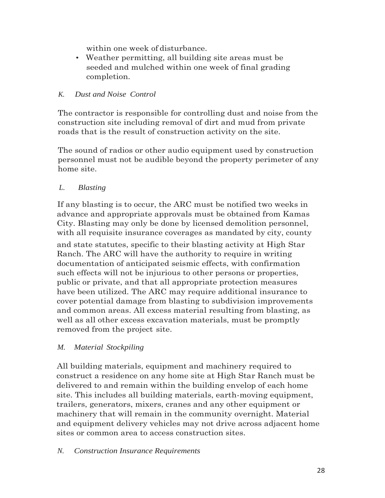within one week of disturbance.

• Weather permitting, all building site areas must be seeded and mulched within one week of final grading completion.

## *K. Dust and Noise Control*

The contractor is responsible for controlling dust and noise from the construction site including removal of dirt and mud from private roads that is the result of construction activity on the site.

The sound of radios or other audio equipment used by construction personnel must not be audible beyond the property perimeter of any home site.

## *L. Blasting*

If any blasting is to occur, the ARC must be notified two weeks in advance and appropriate approvals must be obtained from Kamas City. Blasting may only be done by licensed demolition personnel, with all requisite insurance coverages as mandated by city, county and state statutes, specific to their blasting activity at High Star Ranch. The ARC will have the authority to require in writing documentation of anticipated seismic effects, with confirmation such effects will not be injurious to other persons or properties, public or private, and that all appropriate protection measures have been utilized. The ARC may require additional insurance to cover potential damage from blasting to subdivision improvements and common areas. All excess material resulting from blasting, as well as all other excess excavation materials, must be promptly removed from the project site.

## *M. Material Stockpiling*

All building materials, equipment and machinery required to construct a residence on any home site at High Star Ranch must be delivered to and remain within the building envelop of each home site. This includes all building materials, earth-moving equipment, trailers, generators, mixers, cranes and any other equipment or machinery that will remain in the community overnight. Material and equipment delivery vehicles may not drive across adjacent home sites or common area to access construction sites.

#### *N. Construction Insurance Requirements*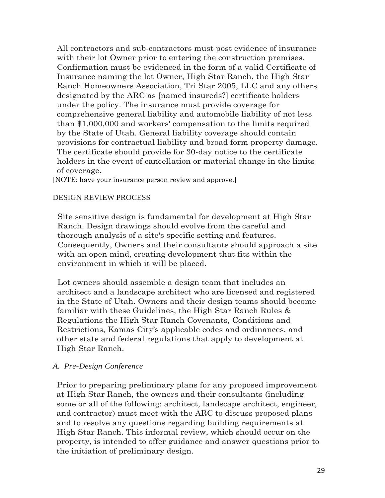All contractors and sub-contractors must post evidence of insurance with their lot Owner prior to entering the construction premises. Confirmation must be evidenced in the form of a valid Certificate of Insurance naming the lot Owner, High Star Ranch, the High Star Ranch Homeowners Association, Tri Star 2005, LLC and any others designated by the ARC as [named insureds?] certificate holders under the policy. The insurance must provide coverage for comprehensive general liability and automobile liability of not less than \$1,000,000 and workers' compensation to the limits required by the State of Utah. General liability coverage should contain provisions for contractual liability and broad form property damage. The certificate should provide for 30-day notice to the certificate holders in the event of cancellation or material change in the limits of coverage.

[NOTE: have your insurance person review and approve.]

#### DESIGN REVIEW PROCESS

Site sensitive design is fundamental for development at High Star Ranch. Design drawings should evolve from the careful and thorough analysis of a site's specific setting and features. Consequently, Owners and their consultants should approach a site with an open mind, creating development that fits within the environment in which it will be placed.

Lot owners should assemble a design team that includes an architect and a landscape architect who are licensed and registered in the State of Utah. Owners and their design teams should become familiar with these Guidelines, the High Star Ranch Rules & Regulations the High Star Ranch Covenants, Conditions and Restrictions, Kamas City's applicable codes and ordinances, and other state and federal regulations that apply to development at High Star Ranch.

#### *A. Pre-Design Conference*

Prior to preparing preliminary plans for any proposed improvement at High Star Ranch, the owners and their consultants (including some or all of the following: architect, landscape architect, engineer, and contractor) must meet with the ARC to discuss proposed plans and to resolve any questions regarding building requirements at High Star Ranch. This informal review, which should occur on the property, is intended to offer guidance and answer questions prior to the initiation of preliminary design.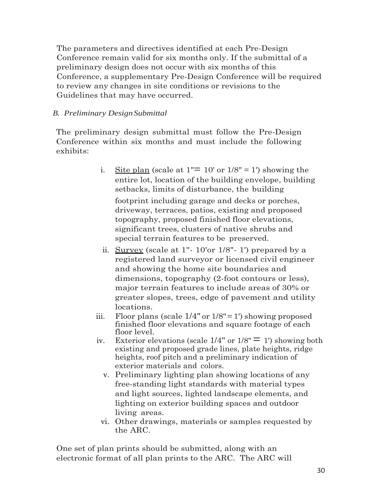The parameters and directives identified at each Pre-Design Conference remain valid for six months only. If the submittal of a preliminary design does not occur with six months of this Conference, a supplementary Pre-Design Conference will be required to review any changes in site conditions or revisions to the Guidelines that may have occurred.

## *B. Preliminary DesignSubmittal*

The preliminary design submittal must follow the Pre-Design Conference within six months and must include the following exhibits:

> i. Site plan (scale at  $1" = 10'$  or  $1/8" = 1'$ ) showing the entire lot, location of the building envelope, building setbacks, limits of disturbance, the building

footprint including garage and decks or porches, driveway, terraces, patios, existing and proposed topography, proposed finished floor elevations, significant trees, clusters of native shrubs and special terrain features to be preserved.

- ii. Survey (scale at 1"- 10'or 1/8"- 1') prepared by a registered land surveyor or licensed civil engineer and showing the home site boundaries and dimensions, topography (2-foot contours or less), major terrain features to include areas of 30% or greater slopes, trees, edge of pavement and utility locations.
- iii. Floor plans (scale  $1/4$ " or  $1/8$ " = 1') showing proposed finished floor elevations and square footage of each floor level.
- iv. Exterior elevations (scale  $1/4$ " or  $1/8$ " = 1') showing both existing and proposed grade lines, plate heights, ridge heights, roof pitch and a preliminary indication of exterior materials and colors.
	- v. Preliminary lighting plan showing locations of any free-standing light standards with material types and light sources, lighted landscape elements, and lighting on exterior building spaces and outdoor living areas.
	- vi. Other drawings, materials or samples requested by the ARC.

One set of plan prints should be submitted, along with an electronic format of all plan prints to the ARC. The ARC will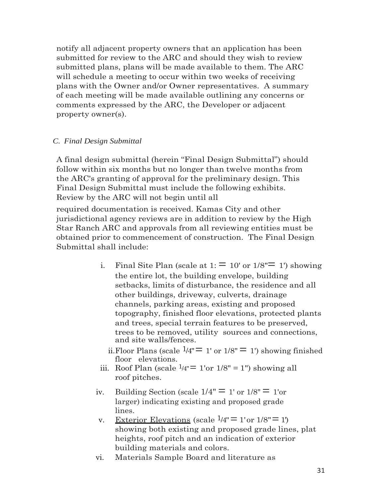notify all adjacent property owners that an application has been submitted for review to the ARC and should they wish to review submitted plans, plans will be made available to them. The ARC will schedule a meeting to occur within two weeks of receiving plans with the Owner and/or Owner representatives. A summary of each meeting will be made available outlining any concerns or comments expressed by the ARC, the Developer or adjacent property owner(s).

#### *C. Final Design Submittal*

A final design submittal (herein "Final Design Submittal") should follow within six months but no longer than twelve months from the ARC's granting of approval for the preliminary design. This Final Design Submittal must include the following exhibits. Review by the ARC will not begin until all

required documentation is received. Kamas City and other jurisdictional agency reviews are in addition to review by the High Star Ranch ARC and approvals from all reviewing entities must be obtained prior to commencement of construction. The Final Design Submittal shall include:

- i. Final Site Plan (scale at  $1:$   $\equiv$  10' or 1/8" $\equiv$  1') showing the entire lot, the building envelope, building setbacks, limits of disturbance, the residence and all other buildings, driveway, culverts, drainage channels, parking areas, existing and proposed topography, finished floor elevations, protected plants and trees, special terrain features to be preserved, trees to be removed, utility sources and connections, and site walls/fences.
	- ii. Floor Plans (scale  $\frac{1}{4} = 1$ ' or  $\frac{1}{8} = 1$ ') showing finished floor elevations.
- iii. Roof Plan (scale  $\frac{1}{4} = 1$ 'or  $\frac{1}{8} = 1$ ") showing all roof pitches.
- iv. Building Section (scale  $1/4" \equiv 1'$  or  $1/8" \equiv 1'$  or larger) indicating existing and proposed grade lines.
- v. Exterior Elevations (scale  $\frac{1}{4} = 1$ 'or  $\frac{1}{8} = 1$ ') showing both existing and proposed grade lines, plat heights, roof pitch and an indication of exterior building materials and colors.
- vi. Materials Sample Board and literature as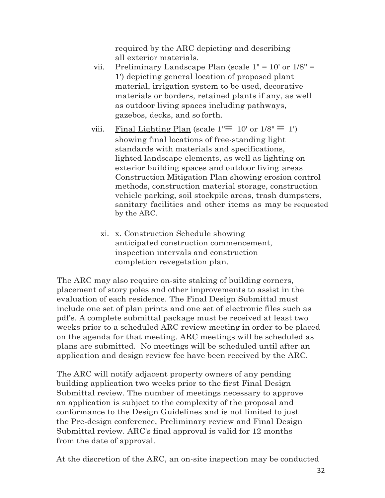required by the ARC depicting and describing all exterior materials.

- vii. Preliminary Landscape Plan (scale 1" = 10' or 1/8" = 1') depicting general location of proposed plant material, irrigation system to be used, decorative materials or borders, retained plants if any, as well as outdoor living spaces including pathways, gazebos, decks, and so forth.
- viii. Final Lighting Plan (scale  $1'' = 10'$  or  $1/8'' = 1'$ ) showing final locations of free-standing light standards with materials and specifications, lighted landscape elements, as well as lighting on exterior building spaces and outdoor living areas Construction Mitigation Plan showing erosion control methods, construction material storage, construction vehicle parking, soil stockpile areas, trash dumpsters, sanitary facilities and other items as may be requested by the ARC.
	- xi. x. Construction Schedule showing anticipated construction commencement, inspection intervals and construction completion revegetation plan.

The ARC may also require on-site staking of building corners, placement of story poles and other improvements to assist in the evaluation of each residence. The Final Design Submittal must include one set of plan prints and one set of electronic files such as pdf's. A complete submittal package must be received at least two weeks prior to a scheduled ARC review meeting in order to be placed on the agenda for that meeting. ARC meetings will be scheduled as plans are submitted. No meetings will be scheduled until after an application and design review fee have been received by the ARC.

The ARC will notify adjacent property owners of any pending building application two weeks prior to the first Final Design Submittal review. The number of meetings necessary to approve an application is subject to the complexity of the proposal and conformance to the Design Guidelines and is not limited to just the Pre-design conference, Preliminary review and Final Design Submittal review. ARC's final approval is valid for 12 months from the date of approval.

At the discretion of the ARC, an on-site inspection may be conducted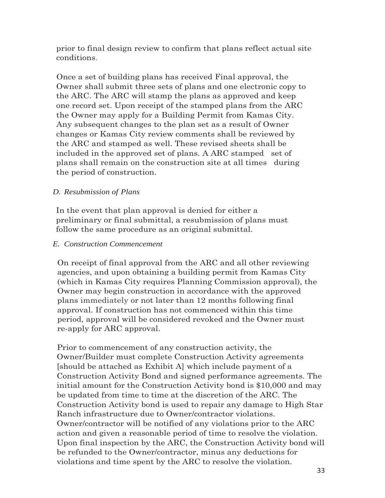prior to final design review to confirm that plans reflect actual site conditions.

Once a set of building plans has received Final approval, the Owner shall submit three sets of plans and one electronic copy to the ARC. The ARC will stamp the plans as approved and keep one record set. Upon receipt of the stamped plans from the ARC the Owner may apply for a Building Permit from Kamas City. Any subsequent changes to the plan set as a result of Owner changes or Kamas City review comments shall be reviewed by the ARC and stamped as well. These revised sheets shall be included in the approved set of plans. A ARC stamped set of plans shall remain on the construction site at all times during the period of construction.

#### *D. Resubmission of Plans*

In the event that plan approval is denied for either a preliminary or final submittal, a resubmission of plans must follow the same procedure as an original submittal.

#### *E. Construction Commencement*

On receipt of final approval from the ARC and all other reviewing agencies, and upon obtaining a building permit from Kamas City (which in Kamas City requires Planning Commission approval), the Owner may begin construction in accordance with the approved plans immediately or not later than 12 months following final approval. If construction has not commenced within this time period, approval will be considered revoked and the Owner must re-apply for ARC approval.

Prior to commencement of any construction activity, the Owner/Builder must complete Construction Activity agreements [should be attached as Exhibit A] which include payment of a Construction Activity Bond and signed performance agreements. The initial amount for the Construction Activity bond is \$10,000 and may be updated from time to time at the discretion of the ARC. The Construction Activity bond is used to repair any damage to High Star Ranch infrastructure due to Owner/contractor violations. Owner/contractor will be notified of any violations prior to the ARC action and given a reasonable period of time to resolve the violation. Upon final inspection by the ARC, the Construction Activity bond will be refunded to the Owner/contractor, minus any deductions for violations and time spent by the ARC to resolve the violation.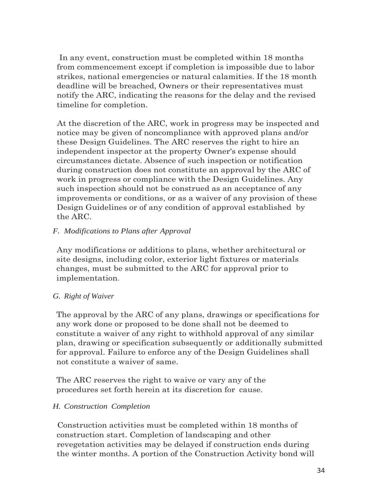In any event, construction must be completed within 18 months from commencement except if completion is impossible due to labor strikes, national emergencies or natural calamities. If the 18·month deadline will be breached, Owners or their representatives must notify the ARC, indicating the reasons for the delay and the revised timeline for completion.

At the discretion of the ARC, work in progress may be inspected and notice may be given of noncompliance with approved plans and/or these Design Guidelines. The ARC reserves the right to hire an independent inspector at the property Owner's expense should circumstances dictate. Absence of such inspection or notification during construction does not constitute an approval by the ARC of work in progress or compliance with the Design Guidelines. Any such inspection should not be construed as an acceptance of any improvements or conditions, or as a waiver of any provision of these Design Guidelines or of any condition of approval established by the ARC.

#### *F. Modifications to Plans after Approval*

Any modifications or additions to plans, whether architectural or site designs, including color, exterior light fixtures or materials changes, must be submitted to the ARC for approval prior to implementation.

#### *G. Right of Waiver*

The approval by the ARC of any plans, drawings or specifications for any work done or proposed to be done shall not be deemed to constitute a waiver of any right to withhold approval of any similar plan, drawing or specification subsequently or additionally submitted for approval. Failure to enforce any of the Design Guidelines shall not constitute a waiver of same.

The ARC reserves the right to waive or vary any of the procedures set forth herein at its discretion for cause.

## *H. Construction Completion*

Construction activities must be completed within 18 months of construction start. Completion of landscaping and other revegetation activities may be delayed if construction ends during the winter months. A portion of the Construction Activity bond will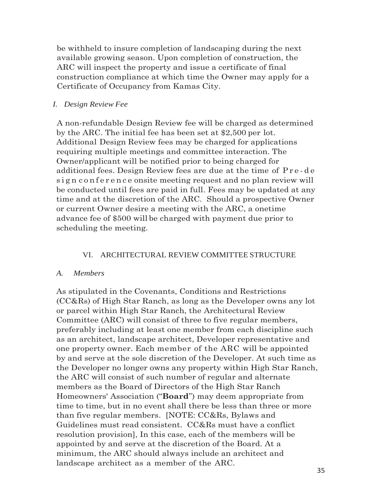be withheld to insure completion of landscaping during the next available growing season. Upon completion of construction, the ARC will inspect the property and issue a certificate of final construction compliance at which time the Owner may apply for a Certificate of Occupancy from Kamas City.

#### *I. Design Review Fee*

A non-refundable Design Review fee will be charged as determined by the ARC. The initial fee has been set at \$2,500 per lot. Additional Design Review fees may be charged for applications requiring multiple meetings and committee interaction. The Owner/applicant will be notified prior to being charged for additional fees. Design Review fees are due at the time of Pre-de sign conference onsite meeting request and no plan review will be conducted until fees are paid in full. Fees may be updated at any time and at the discretion of the ARC. Should a prospective Owner or current Owner desire a meeting with the ARC, a onetime advance fee of \$500 will be charged with payment due prior to scheduling the meeting.

#### VI. ARCHITECTURAL REVIEW COMMITTEE STRUCTURE

#### *A. Members*

As stipulated in the Covenants, Conditions and Restrictions (CC&Rs) of High Star Ranch, as long as the Developer owns any lot or parcel within High Star Ranch, the Architectural Review Committee (ARC) will consist of three to five regular members, preferably including at least one member from each discipline such as an architect, landscape architect, Developer representative and one property owner. Each member of the ARC will be appointed by and serve at the sole discretion of the Developer. At such time as the Developer no longer owns any property within High Star Ranch, the ARC will consist of such number of regular and alternate members as the Board of Directors of the High Star Ranch Homeowners' Association ("**Board**") may deem appropriate from time to time, but in no event shall there be less than three or more than five regular members. [NOTE: CC&Rs, Bylaws and Guidelines must read consistent. CC&Rs must have a conflict resolution provision], In this case, each of the members will be appointed by and serve at the discretion of the Board. At a minimum, the ARC should always include an architect and landscape architect as a member of the ARC.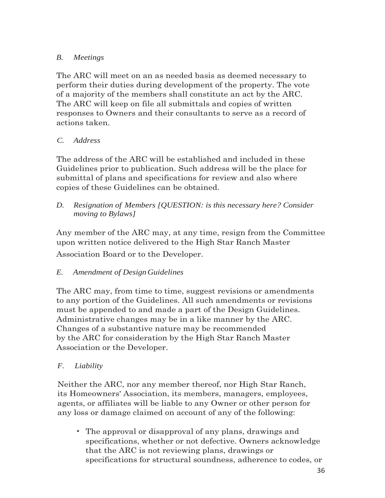## *B. Meetings*

The ARC will meet on an as needed basis as deemed necessary to perform their duties during development of the property. The vote of a majority of the members shall constitute an act by the ARC. The ARC will keep on file all submittals and copies of written responses to Owners and their consultants to serve as a record of actions taken.

## *C. Address*

The address of the ARC will be established and included in these Guidelines prior to publication. Such address will be the place for submittal of plans and specifications for review and also where copies of these Guidelines can be obtained.

*D. Resignation of Members [QUESTION: is this necessary here? Consider moving to Bylaws]*

Any member of the ARC may, at any time, resign from the Committee upon written notice delivered to the High Star Ranch Master Association Board or to the Developer.

## *E. Amendment of DesignGuidelines*

The ARC may, from time to time, suggest revisions or amendments to any portion of the Guidelines. All such amendments or revisions must be appended to and made a part of the Design Guidelines. Administrative changes may be in a like manner by the ARC. Changes of a substantive nature may be recommended by the ARC for consideration by the High Star Ranch Master Association or the Developer.

## *F. Liability*

Neither the ARC, nor any member thereof, nor High Star Ranch, its Homeowners' Association, its members, managers, employees, agents, or affiliates will be liable to any Owner or other person for any loss or damage claimed on account of any of the following:

• The approval or disapproval of any plans, drawings and specifications, whether or not defective. Owners acknowledge that the ARC is not reviewing plans, drawings or specifications for structural soundness, adherence to codes, or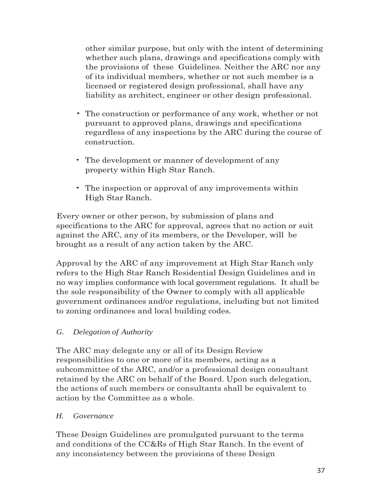other similar purpose, but only with the intent of determining whether such plans, drawings and specifications comply with the provisions of these Guidelines. Neither the ARC nor any of its individual members, whether or not such member is a licensed or registered design professional, shall have any liability as architect, engineer or other design professional.

- The construction or performance of any work, whether or not pursuant to approved plans, drawings and specifications regardless of any inspections by the ARC during the course of construction.
- The development or manner of development of any property within High Star Ranch.
- The inspection or approval of any improvements within High Star Ranch.

Every owner or other person, by submission of plans and specifications to the ARC for approval, agrees that no action or suit against the ARC, any of its members, or the Developer, will be brought as a result of any action taken by the ARC.

Approval by the ARC of any improvement at High Star Ranch only refers to the High Star Ranch Residential Design Guidelines and in no way implies conformance with local government regulations. It shall be the sole responsibility of the Owner to comply with all applicable government ordinances and/or regulations, including but not limited to zoning ordinances and local building codes.

## *G. Delegation of Authority*

The ARC may delegate any or all of its Design Review responsibilities to one or more of its members, acting as a subcommittee of the ARC, and/or a professional design consultant retained by the ARC on behalf of the Board. Upon such delegation, the actions of such members or consultants shall be equivalent to action by the Committee as a whole.

## *H. Governance*

These Design Guidelines are promulgated pursuant to the terms and conditions of the CC&Rs of High Star Ranch. In the event of any inconsistency between the provisions of these Design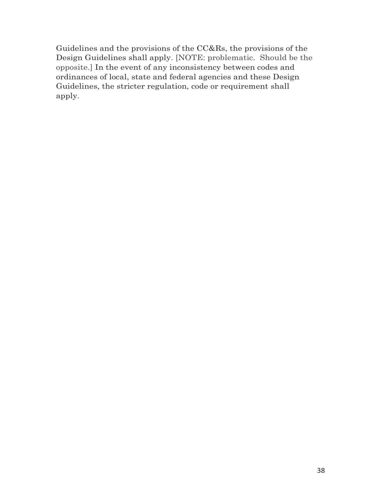Guidelines and the provisions of the CC&Rs, the provisions of the Design Guidelines shall apply. [NOTE: problematic. Should be the opposite.] In the event of any inconsistency between codes and ordinances of local, state and federal agencies and these Design Guidelines, the stricter regulation, code or requirement shall apply.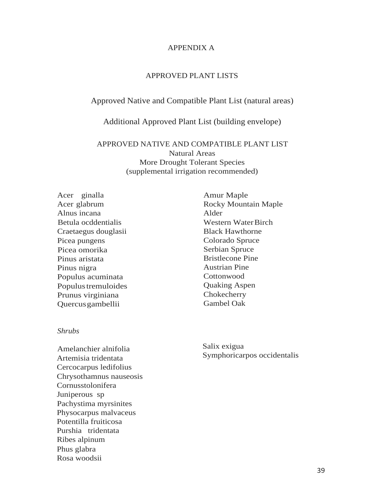#### APPENDIX A

#### APPROVED PLANT LISTS

#### Approved Native and Compatible Plant List (natural areas)

#### Additional Approved Plant List (building envelope)

#### APPROVED NATIVE AND COMPATIBLE PLANT LIST Natural Areas More Drought Tolerant Species (supplemental irrigation recommended)

Acer ginalla Acer glabrum Alnus incana Betula ocddentialis Craetaegus douglasii Picea pungens Picea omorika Pinus aristata Pinus nigra Populus acuminata Populus tremuloides Prunus virginiana Quercusgambellii

#### *Shrubs*

Amelanchier alnifolia Artemisia tridentata Cercocarpus ledifolius Chrysothamnus nauseosis Cornusstolonifera Juniperous sp Pachystima myrsinites Physocarpus malvaceus Potentilla fruiticosa Purshia tridentata Ribes alpinum Phus glabra Rosa woodsii

Amur Maple Rocky Mountain Maple Alder Western Water Birch Black Hawthorne Colorado Spruce Serbian Spruce Bristlecone Pine Austrian Pine **Cottonwood** Quaking Aspen Chokecherry Gambel Oak

Salix exigua Symphoricarpos occidentalis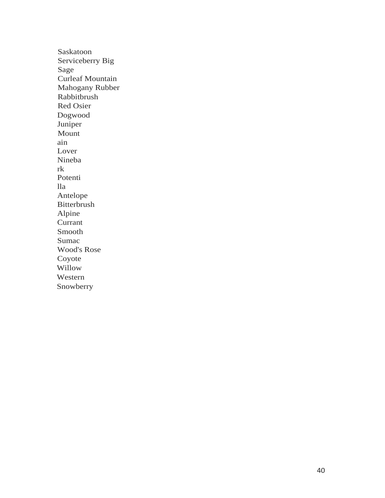Saskatoon Serviceberry Big Sage Curleaf Mountain Mahogany Rubber Rabbitbrush Red Osier Dogwood Juniper Mount ain Lover Nineba rk Potenti lla Antelope Bitterbrush Alpine Currant Smooth Sumac Wood's Rose Coyote Willow Western Snowberry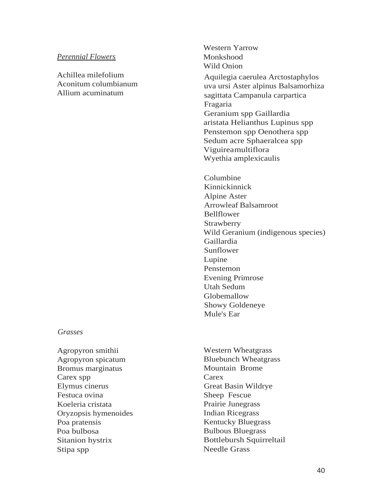#### *Perennial Flowers*

Achillea milefolium Aconitum columbianum Allium acuminatum

Western Yarrow Monkshood Wild Onion

Aquilegia caerulea Arctostaphylos uva ursi Aster alpinus Balsamorhiza sagittata Campanula carpartica Fragaria Geranium spp Gaillardia aristata Helianthus Lupinus spp Penstemon spp Oenothera spp Sedum acre Sphaeralcea spp Viguireamultiflora Wyethia amplexicaulis

Columbine Kinnickinnick Alpine Aster Arrowleaf Balsamroot Bellflower Strawberry Wild Geranium (indigenous species) Gaillardia Sunflower Lupine Penstemon Evening Primrose Utah Sedum Globemallow Showy Goldeneye Mule's Ear

#### *Grasses*

Agropyron smithii Agropyron spicatum Bromus marginatus Carex spp Elymus cinerus Festuca ovina Koeleria cristata Oryzopsis hymenoides Poa pratensis Poa bulbosa Sitanion hystrix Stipa spp

Western Wheatgrass Bluebunch Wheatgrass Mountain Brome **Carex** Great Basin Wildrye Sheep Fescue Prairie Junegrass Indian Ricegrass Kentucky Bluegrass Bulbous Bluegrass Bottlebursh Squirreltail Needle Grass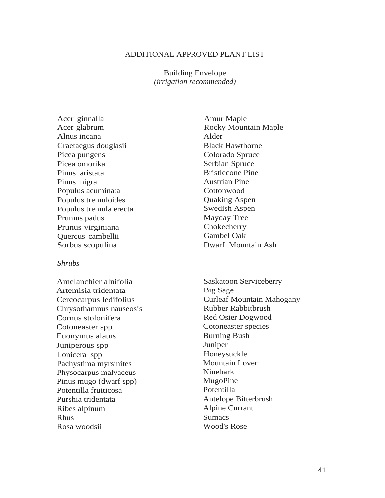#### ADDITIONAL APPROVED PLANT LIST

Building Envelope *(irrigation recommended)*

Acer ginnalla Acer glabrum Alnus incana Craetaegus douglasii Picea pungens Picea omorika Pinus aristata Pinus nigra Populus acuminata Populus tremuloides Populus tremula erecta' Prumus padus Prunus virginiana Quercus cambellii Sorbus scopulina

#### *Shrubs*

Amelanchier alnifolia Artemisia tridentata Cercocarpus ledifolius Chrysothamnus nauseosis Cornus stolonifera Cotoneaster spp Euonymus alatus Juniperous spp Lonicera spp Pachystima myrsinites Physocarpus malvaceus Pinus mugo (dwarf spp) Potentilla fruiticosa Purshia tridentata Ribes alpinum Rhus Rosa woodsii

Amur Maple Rocky Mountain Maple Alder Black Hawthorne Colorado Spruce Serbian Spruce Bristlecone Pine Austrian Pine **Cottonwood** Quaking Aspen Swedish Aspen Mayday Tree **Chokecherry** Gambel Oak Dwarf Mountain Ash

Saskatoon Serviceberry Big Sage Curleaf Mountain Mahogany Rubber Rabbitbrush Red Osier Dogwood Cotoneaster species Burning Bush Juniper Honeysuckle Mountain Lover Ninebark MugoPine Potentilla Antelope Bitterbrush Alpine Currant Sumacs Wood's Rose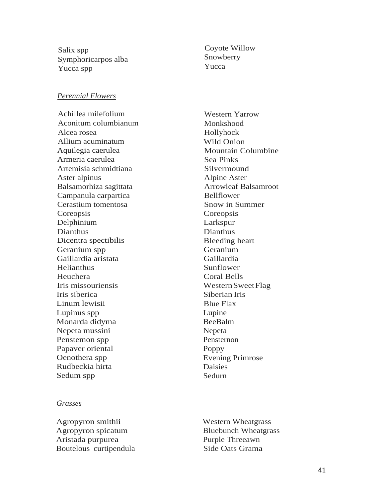Salix spp Symphoricarpos alba Yucca spp

#### *Perennial Flowers*

Achillea milefolium Aconitum columbianum Alcea rosea Allium acuminatum Aquilegia caerulea Armeria caerulea Artemisia schmidtiana Aster alpinus Balsamorhiza sagittata Campanula carpartica Cerastium tomentosa Coreopsis Delphinium Dianthus Dicentra spectibilis Geranium spp Gaillardia aristata Helianthus Heuchera Iris missouriensis Iris siberica Linum lewisii Lupinus spp Monarda didyma Nepeta mussini Penstemon spp Papaver oriental Oenothera spp Rudbeckia hirta Sedum spp

#### *Grasses*

Agropyron smithii Agropyron spicatum Aristada purpurea Boutelous curtipendula Coyote Willow Snowberry Yucca

Western Yarrow Monkshood Hollyhock Wild Onion Mountain Columbine Sea Pinks Silvermound Alpine Aster Arrowleaf Balsamroot Bellflower Snow in Summer Coreopsis Larkspur Dianthus Bleeding heart Geranium Gaillardia Sunflower Coral Bells WesternSweetFlag Siberian Iris Blue Flax Lupine BeeBalm Nepeta Pensternon Poppy Evening Primrose Daisies Sedurn

Western Wheatgrass Bluebunch Wheatgrass Purple Threeawn Side Oats Grama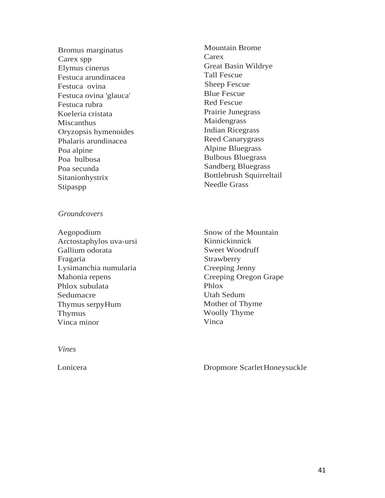Bromus marginatus Carex spp Elymus cinerus Festuca arundinacea Festuca ovina Festuca ovina 'glauca' Festuca rubra Koeleria cristata **Miscanthus** Oryzopsis hymenoides Phalaris arundinacea Poa alpine Poa bulbosa Poa secunda Sitanionhystrix Stipaspp

Mountain Brome **Carex** Great Basin Wildrye Tall Fescue Sheep Fescue Blue Fescue Red Fescue Prairie Junegrass Maidengrass Indian Ricegrass Reed Canarygrass Alpine Bluegrass Bulbous Bluegrass Sandberg Bluegrass Bottlebrush Squirreltail Needle Grass

*Groundcovers*

Aegopodium Arctostaphylos uva-ursi Gallium odorata Fragaria Lysimanchia numularia Mahonia repens Phlox subulata Sedumacre Thymus serpyHum Thymus Vinca minor

Snow of the Mountain Kinnickinnick Sweet Woodruff Strawberry Creeping Jenny Creeping Oregon Grape Phlox Utah Sedum Mother of Thyme Woolly Thyme Vinca

*Vines*

Lonicera Dropmore ScarletHoneysuckle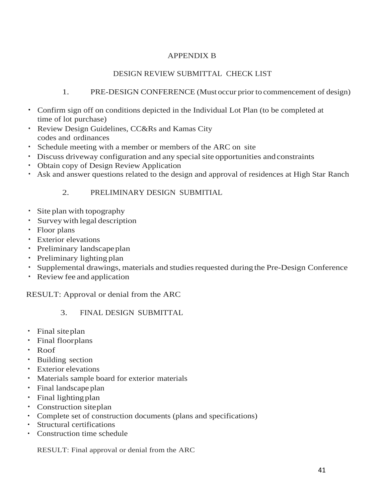## APPENDIX B

## DESIGN REVIEW SUBMITTAL CHECK LIST

## 1. PRE-DESIGN CONFERENCE (Must occur prior to commencement of design)

- Confirm sign off on conditions depicted in the Individual Lot Plan (to be completed at time of lot purchase)
- Review Design Guidelines, CC&Rs and Kamas City codes and ordinances
- Schedule meeting with a member or members of the ARC on site
- Discuss driveway configuration and any special site opportunities and constraints
- Obtain copy of Design Review Application
- Ask and answer questions related to the design and approval of residences at High Star Ranch

## 2. PRELIMINARY DESIGN SUBMITIAL

- Site plan with topography
- Surveywith legal description
- Floor plans
- Exterior elevations
- Preliminary landscapeplan
- Preliminary lighting plan
- Supplemental drawings, materials and studies requested during the Pre-Design Conference
- Review fee and application

# RESULT: Approval or denial from the ARC

## 3. FINAL DESIGN SUBMITTAL

- Final siteplan
- Final floorplans
- Roof
- Building section
- Exterior elevations
- Materials sample board for exterior materials
- Final landscape plan
- Final lighting plan
- Construction siteplan
- Complete set of construction documents (plans and specifications)
- Structural certifications
- Construction time schedule

RESULT: Final approval or denial from the ARC